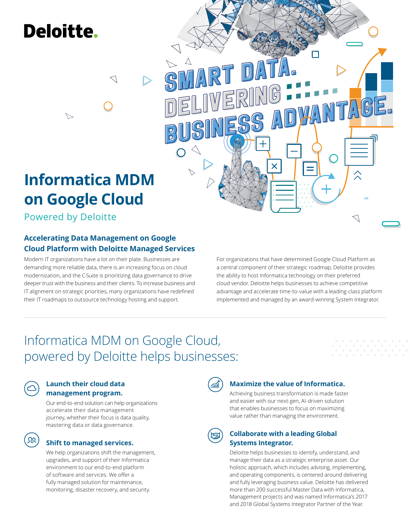# **Deloitte.**

# **Informatica MDM on Google Cloud**

Powered by Deloitte

 $\triangleright$ 

#### **Accelerating Data Management on Google Cloud Platform with Deloitte Managed Services**

 $\triangleleft$ 

Modern IT organizations have a lot on their plate. Businesses are demanding more reliable data, there is an increasing focus on cloud modernization, and the C-Suite is prioritizing data governance to drive deeper trust with the business and their clients. To increase business and IT alignment on strategic priorities, many organizations have redefined their IT roadmaps to outsource technology hosting and support.

For organizations that have determined Google Cloud Platform as a central component of their strategic roadmap, Deloitte provides the ability to host Informatica technology on their preferred cloud vendor. Deloitte helps businesses to achieve competitive advantage and accelerate time-to-value with a leading-class platform implemented and managed by an award-winning System Integrator.

615

 $\alpha$  ,  $\alpha$  ,  $\alpha$ 

## Informatica MDM on Google Cloud, powered by Deloitte helps businesses:



#### **Launch their cloud data management program.**

Our end-to-end solution can help organizations accelerate their data management journey, whether their focus is data quality, mastering data or data governance.

### **Shift to managed services.**

We help organizations shift the management, upgrades, and support of their Informatica environment to our end-to-end platform of software and services. We offer a fully managed solution for maintenance, monitoring, disaster recovery, and security.



#### **Maximize the value of Informatica.**

Achieving business transformation is made faster and easier with our next-gen, AI-driven solution that enables businesses to focus on maximizing value rather than managing the environment.

#### **Collaborate with a leading Global Systems Integrator.**

Deloitte helps businesses to identify, understand, and manage their data as a strategic enterprise asset. Our holistic approach, which includes advising, implementing, and operating components, is centered around delivering and fully leveraging business value. Deloitte has delivered more than 200 successful Master Data with Informatica, Management projects and was named Informatica's 2017 and 2018 Global Systems Integrator Partner of the Year.